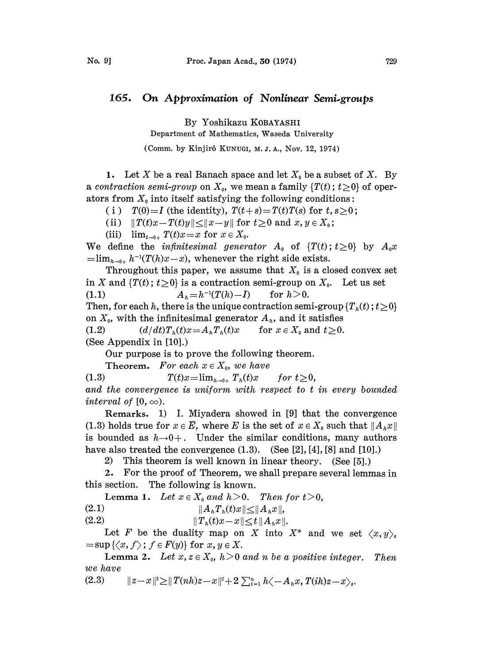## 165. On Approximation of Nonlinear Semi-groups

By Yoshikazu KOBAYASHI

Department of Mathematics, Waseda University

(Comm. by Kinjir6 KUNUGI, M. J. A., Nov. 12, 1974)

1. Let X be a real Banach space and let  $X_0$  be a subset of X. By a contraction semi-group on  $X_0$ , we mean a family  $\{T(t) : t \geq 0\}$  of operators from  $X_0$  into itself satisfying the following conditions:

(i)  $T(0)=I$  (the identity),  $T(t+s)=T(t)T(s)$  for  $t, s\geq 0$ ;

(ii)  $||T(t)x - T(t)y|| \le ||x - y||$  for  $t \ge 0$  and  $x, y \in X_0$ ;

(iii)  $\lim_{t\to 0+} T(t)x=x$  for  $x \in X_0$ .

We define the *infinitesimal generator*  $A_0$  of  $\{T(t)\,;\,t\geq 0\}$  by  $A_0x$  $=\lim_{h\to 0+} h^{-1}(T(h)x-x)$ , whenever the right side exists.

Throughout this paper, we assume that  $X_0$  is a closed convex set in X and  $\{T(t); t\geq 0\}$  is a contraction semi-group on  $X_0$ . Let us set (1.1)  $A_h = h^{-1}(T(h) - I)$  for  $h > 0$ . Then, for each h, there is the unique contraction semi-group  $\{T_n(t); t\geq 0\}$ on  $X_0$ , with the infinitesimal generator  $A_h$ , and it satisfies (1.2)  $(d/dt)T_{h}(t)x=A_{h}T_{h}(t)x$  for  $x \in X_{0}$  and  $t \geq 0$ .

(See Appendix in [10].)

Our purpose is to prove the following theorem.

Theorem. For each  $x \in X_0$ , we have

(1.3)  $T(t)x = \lim_{h \to 0+} T_h(t)x$  for  $t \ge 0$ , and the convergence is uniform with respect to <sup>t</sup> in every bounded interval of  $[0, \infty)$ .

Remarks. 1) I. Miyadera showed in [9] that the convergence (1.3) holds true for  $x \in \overline{E}$ , where E is the set of  $x \in X_0$  such that  $||A_h x||$ is bounded as  $h\rightarrow 0+$ . Under the similar conditions, many authors have also treated the convergence  $(1.3)$ .  $(See [2], [4], [8]$  and  $[10].)$ 

2) This theorem is well known in linear theory. (See [5].)

2. For the proof of Theorem, we shall prepare several lemmas in this section. The following is known.

Lemma 1. Let  $x \in X_0$  and  $h > 0$ . Then for  $t > 0$ ,

(2.1)  $||A_hT_h(t)x|| \le$ 

(2.2)  $\|T_h(t)x - x\| \le t \|A_h x\|$ 

 $||A_h T_h(t)x|| \le ||A_h x||,$ <br>  $||T_h(t)x-x|| \le t ||A_h x||.$ <br>
Let F be the duality map on X into X\* and we set  $\langle x,$ <br>  $||\nabla u(x, t)|| \le \sum_{h=0}^{\infty} E(x)$ ,  $\int_{-\infty}^{\infty} E(x) dx$ ,  $\int_{-\infty}^{\infty} E(x) dx$ ,  $\int_{-\infty}^{\infty} E(x) dx$ ,  $\int_{-\infty}^{\infty} E(x) dx$ ,  $\int_{-\infty}^{\infty}$  $=\sup \{\langle x, f \rangle; f \in F(y)\}\$ for  $x, y \in X$ .

Lemma 2. Let  $x, z \in X_0$ ,  $h > 0$  and n be a positive integer. Then we have

(2.3) 
$$
||z-x||^2 \ge ||T(nh)z-x||^2 + 2 \sum_{i=1}^n h \langle -A_n x, T(ih)z-x \rangle_s.
$$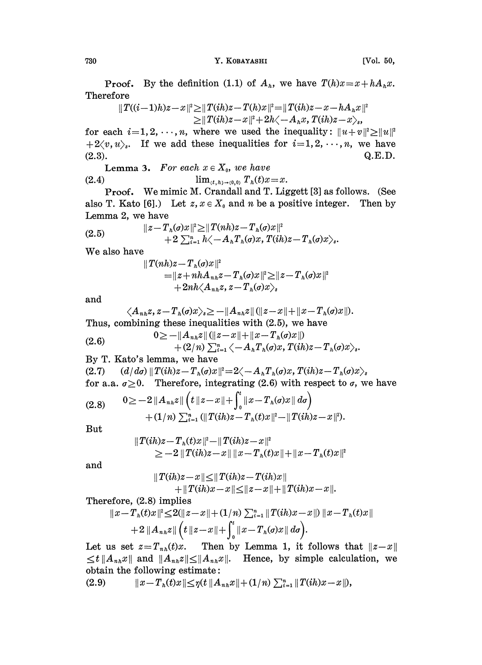730 Y. KOBAYASHI [Vol. 50,

**Proof.** By the definition (1.1) of  $A_h$ , we have  $T(h)x = x + hA_hx$ . Therefore

$$
\|T((i-1)h)z-x\|^2\!\ge\!\|T(ih)z\!-\!T(h)x\|^2\!=\!\|T(ih)z\!-\!x\!-\!hA_hx\|^2\\\ge\!\|T(ih)z\!-\!x\|^2\!+\!2h\!\!\left\langle -A_hx,\,T(ih)z\!-\!x\right\rangle _s,
$$

for each  $i=1, 2, \dots, n$ , where we used the inequality:  $||u + v||^2 \ge ||u||^2$  $+2\langle v, u\rangle$ . If we add these inequalities for  $i=1, 2, \dots, n$ , we have (2.3). Q.E.D.  $Q.E.D.$ 

**Lemma 3.** For each  $x \in X_0$ , we have (2.4) lim<sub> $(t, h) \rightarrow (0,0)$ </sub>  $T_h(t)x = x$ .

Proof. We mimic M. Crandall and T. Liggett [3] as follows. (See also T. Kato [6].) Let  $z, x \in X_0$  and n be a positive integer. Then by Lemma 2, we have  $\frac{1}{2}$ ... 112.

$$
\|z-T_h(\sigma)x\|^2 \geq \|T(nh)z-T_h(\sigma)x\|^2 +2\sum_{i=1}^n h\langle -A_hT_h(\sigma)x, T(ih)z-T_h(\sigma)x\rangle_s.
$$

We also have

$$
\|T(nh)z - T_{h}(g)x\|^{2} = \|z + nhA_{nh}z - T_{h}(g)x\|^{2} \geq \|z - T_{h}(g)x\|^{2} + 2nh\langle A_{nh}z, z - T_{h}(g)x\rangle_{s}
$$

and

$$
\langle A_{nk}z, z-T_{k}(\sigma)x\rangle_{s} \ge -\|A_{nk}z\| (\|z-x\|+\|x-T_{k}(\sigma)x\|).
$$
  
Thus, combining these inequalities with (2.5), we have

(2.6) 
$$
0 \geq -\|A_{nk}z\| (\|z-x\|+\|x-T_h(\sigma)x\|) + (2/n)\sum_{i=1}^n \langle -A_nT_h(\sigma)x, T(ih)z-T_h(\sigma)x \rangle_s.
$$

By T. Kato's lemma, we have

(2.7)  $(d/d\sigma) \|T(ih)z - T_h(\sigma)x\|^2 = 2\langle -A_h T_h(\sigma)x, T(ih)z - T_h(\sigma)x \rangle_s$ for a.a.  $\sigma \geq 0$ . Therefore, integrating (2.6) with respect to  $\sigma$ , we have

$$
(2.8) \qquad 0 \geq -2\|A_{n h} z\| \left(t \|z-x\| + \int_0^t \|x-T_h(\sigma)x\| d\sigma\right) + (1/n) \sum_{i=1}^n (\|T(ih)z-T_h(t)x\|^2 + \|T(ih)z-x\|^2).
$$

But

$$
||T(ih)z-Th(t)x||2-||T(ih)z-x||2\ge-2||T(ih)z-x|| ||x-Th(t)x||+||x-Th(t)x||2
$$

and

$$
\|T(ih)z - x\| \le \|T(ih)z - T(ih)x\| + \|T(ih)x - x\| \le \|z - x\| + \|T(ih)x - x\|.
$$
  
implies

Therefore, (2.8) implies

$$
||x-Th(t)x||2 \le 2(||z-x||+ (1/n) \sum_{i=1}^{n} ||T(ih)x-x||) ||x-Th(t)x||+ 2 ||Anhz|| $(t ||z-x|| + \int_0^t ||x-Th(\sigma)x|| d\sigma).$
$$

Let us set  $z=T_{nk}(t)x$ . Then by Lemma 1, it follows that  $||z-x||$  $\leq t\|A_{n}\|x\|$  and  $\|A_{n}\|x\|\leq \|A_{n}\|x\|$ . Hence, by simple calculation, we obtain the following estimate:

(2.9)  $||x-T_h(t)x|| \leq \eta(t ||A_{nh}x|| + (1/n) \sum_{i=1}^n ||T(ih)x-x||),$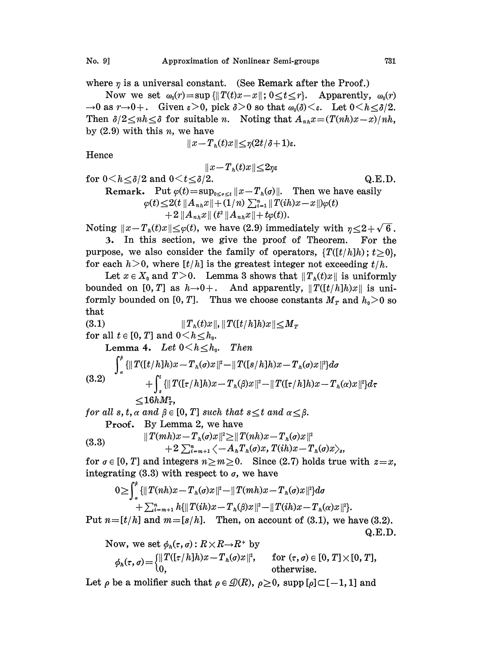where  $\eta$  is a universal constant. (See Remark after the Proof.)

Now we set  $\omega_0(r) = \sup{\{\|T(t)x-x\|; 0 \le t \le r\}}$ . Apparently,  $\omega_0(r)$  $\rightarrow 0$  as  $r \rightarrow 0+$ . Given  $\epsilon > 0$ , pick  $\delta > 0$  so that  $\omega_0(\delta) \leq \epsilon$ . Let  $0 \leq h \leq \delta/2$ . Then  $\delta/2 \le nh \le \delta$  for suitable n. Noting that  $A_{nh}x = (T(nh)x - x)/nh$ , by  $(2.9)$  with this *n*, we have

$$
||x-T_{h}(t)x||\leq \eta(2t/\delta+1)\varepsilon.
$$

Hence

$$
\|x\!-\!T_{\rm a}(t)x\|\!\!\leq\!\!2\eta\varepsilon
$$

for  $0 \le h \le \delta/2$  and  $0 \le t \le \delta/2$ . Q.E.D.

Remark. Put  $\varphi(t) = \sup_{0 \le s \le t} ||x - T_h(\sigma)||$ . Then we have easily  $\varphi(t) \leq 2(t \|A_{n h}x\| + (1/n) \sum_{i=1}^n \|T(ih)x - x\|) \varphi(t)$  $+ 2 ||A_{n} x|| (t^2 ||A_{n} x|| + t\varphi(t)).$ 

Noting  $||x-T_h(t)x|| \leq \varphi(t)$ , we have (2.9) immediately with  $\eta \leq 2 + \sqrt{6}$ .

3. In this section, we give the proof of Theorem. For the purpose, we also consider the family of operators,  $\{T([t/h]h); t\geq 0\}$ , for each  $h > 0$ , where [t/h] is the greatest integer not exceeding t/h.

Let  $x \in X_0$  and  $T>0$ . Lemma 3 shows that  $||T_h(t)x||$  is uniformly bounded on [0, T] as  $h\rightarrow 0+$ . And apparently,  $||T([t/h]h)x||$  is uniformly bounded on [0, T]. Thus we choose constants  $M_T$  and  $h_0>0$  so that

(3.1)  $||T_h(t)x||, ||T([t/h]h)x|| \le M_r$ 

for all  $t \in [0, T]$  and  $0 \lt h \le h_0$ .

$$
\text{Lemma 4.} \quad Let \ 0 < h \leq h_0. \quad Then
$$
\n
$$
\int_a^{\beta} \{ \|T([t/h]h)x - T_h(\sigma)x\|^2 - \|T([s/h]h)x - T_h(\sigma)x\|^2 \} d\sigma
$$
\n
$$
(3.2) \qquad \qquad + \int_s^t \{ \|T([t/h]h)x - T_h(\beta)x\|^2 - \|T([t/h]h)x - T_h(\alpha)x\|^2 \} d\tau
$$
\n
$$
\leq 16hM_{\tau}^2,
$$

for all s, t,  $\alpha$  and  $\beta \in [0, T]$  such that  $s \leq t$  and  $\alpha \leq \beta$ .

Proof. By Lemma 2, we have

Proof. By Lemma 2, we have  
\n
$$
\|T(mh)x - T_h(\sigma)x\|^2 \ge \|T(nh)x - T_h(\sigma)x\|^2
$$
\n
$$
+ 2 \sum_{i=m+1}^n \langle -A_n T_h(\sigma)x, T(ih)x - T_h(\sigma)x \rangle_s,
$$
\nfor  $\sigma \in [0, T]$  and integers  $n \ge m \ge 0$ . Since (2.7) holds true with  $z=x$ ,

integrating (3.3) with respect to  $\sigma$ , we have

$$
0 \geq \int_{\alpha}^{\beta} {\{||T(nh)x - T_h(\sigma)x||^2 - ||T(mh)x - T_h(\sigma)x||^2\} d\sigma \n+ \sum_{i=m+1}^{n} h{\{||T(ih)x - T_h(\beta)x||^2 - ||T(ih)x - T_h(\alpha)x||^2\}}.
$$

Put  $n=[t/h]$  and  $m=[s/h]$ . Then, on account of (3.1), we have (3.2). Q.E.D.

Now, we set 
$$
\phi_h(\tau, \sigma) : R \times R \to R^+
$$
 by  
\n
$$
\phi_h(\tau, \sigma) = \begin{cases} ||T([ \tau / h ] h ) x - T_h(\sigma) x ||^2, & \text{for } (\tau, \sigma) \in [0, T] \times [0, T], \\ 0, & \text{otherwise.} \end{cases}
$$

Let  $\rho$  be a molifier such that  $\rho \in \mathcal{D}(R)$ ,  $\rho \geq 0$ , supp  $[\rho] \subset [-1, 1]$  and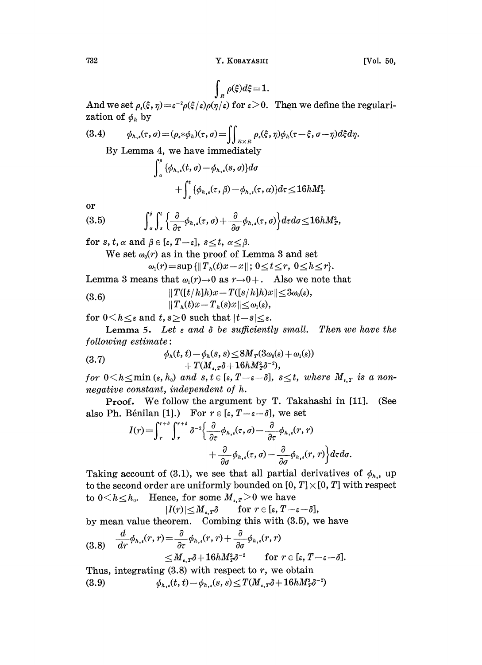$$
\int_{R} \rho(\xi) d\xi = 1.
$$

And we set  $\rho_{\epsilon}(\xi, \eta) = \varepsilon^{-2} \rho(\xi/\varepsilon) \rho(\eta/\varepsilon)$  for  $\varepsilon > 0$ . Then we define the regularization of  $\phi_h$  by

(3.4) 
$$
\phi_{h,\iota}(\tau,\sigma) = (\rho_{\iota} * \phi_h)(\tau,\sigma) = \iint_{R \times R} \rho_{\iota}(\xi,\eta) \phi_h(\tau - \xi, \sigma - \eta) d\xi d\eta.
$$
  
By Lemma 4, we have immediately

$$
\int_{\alpha} {\phi_{h,*}(t, \sigma) - \phi_{h,*}(s, \sigma)} d\sigma
$$
  
+ 
$$
\int_{s}^{t} {\phi_{h,*}(\tau, \beta) - \phi_{h,*}(\tau, \alpha)} d\tau \le 16hM_T^2
$$

or

$$
(3.5) \qquad \qquad \int_a^{\beta} \int_s^t \left\{ \frac{\partial}{\partial \tau} \phi_{h,\epsilon}(\tau,\sigma) + \frac{\partial}{\partial \sigma} \phi_{h,\epsilon}(\tau,\sigma) \right\} d\tau d\sigma \leq 16hM_T^2,
$$

for s, t,  $\alpha$  and  $\beta \in [\epsilon, T-\epsilon]$ ,  $s \le t$ ,  $\alpha \le \beta$ .

We set  $\omega_0(r)$  as in the proof of Lemma 3 and set

$$
\omega_1(r) = \sup \{ || T_n(t)x - x || \colon 0 \le t \le r, \ 0 \le h \le r \}.
$$

Lemma 3 means that  $\omega_1(r) \to 0$  as  $r \to 0+$ . Also we note that

(3.6) 
$$
||T([t/h]h)x - T([s/h]h)x|| \leq 3\omega_0(\varepsilon),
$$

$$
||T_h(t)x - T_h(s)x|| \leq \omega_1(\varepsilon),
$$

for  $0 \leq h \leq \varepsilon$  and  $t, s \geq 0$  such that  $|t-s| \leq \varepsilon$ .

Lemma 5. Let  $\varepsilon$  and  $\delta$  be sufficiently small. Then we have the  $following$   $estimate:$ 

(3.7) 
$$
\phi_h(t,t) - \phi_h(s,s) \leq 8M_T(3\omega_0(\varepsilon) + \omega_1(\varepsilon)) + T(M_{\varepsilon,T}\delta + 16hM_T^2\delta^{-2}),
$$

for  $0\!<\!h\!\leq\!\min\left(\varepsilon,h_{\scriptscriptstyle 0}\right)$  and  $s,t\!\in\![\varepsilon,T\!-\!\varepsilon\!-\!\delta],\;s\!\leq\!t,\;where\;M_{\scriptscriptstyle \bullet,\,T}\;is\;a$  nonnegative constant, independent of h.

Proof. We follow the argument by T. Takahashi in [11]. (See also Ph. Bénilan [1].) For  $r \in [\epsilon, T-\epsilon-\delta]$ , we set

$$
I(r) = \int_{r}^{r+\delta} \int_{r}^{r+\delta} \delta^{-2} \Biggl\{ \frac{\partial}{\partial \tau} \phi_{h,\epsilon}(\tau,\sigma) - \frac{\partial}{\partial \tau} \phi_{h,\epsilon}(r,r) + \frac{\partial}{\partial \sigma} \phi_{h,\epsilon}(\tau,\sigma) - \frac{\partial}{\partial \sigma} \phi_{h,\epsilon}(r,r) \Biggr\} d\tau d\sigma.
$$

Taking account of (3.1), we see that all partial derivatives of  $\phi_{h,\,\boldsymbol{\cdot}}$ , up to the second order are uniformly bounded on  $[0, T] \times [0, T]$  with respect to  $0 \le h \le h_0$ . Hence, for some  $M_{\epsilon,T} > 0$  we have

$$
|I(r)| \leq M_{\epsilon,T} \delta \quad \text{for } r \in [\epsilon, T-\epsilon-\delta],
$$

by mean value theorem. Combing this with (3.5), we have

$$
(3.8) \quad \frac{d}{dr}\phi_{h,\epsilon}(r,r) = \frac{\partial}{\partial \tau}\phi_{h,\epsilon}(r,r) + \frac{\partial}{\partial \sigma}\phi_{h,\epsilon}(r,r) \leq M_{\epsilon,T}\delta + 16hM_T^2\delta^{-2} \quad \text{for } r \in [\epsilon, T-\epsilon-\delta].
$$

 $\leq M_{\epsilon,\bar{r}} \delta + 16h M_{\bar{r}}^2 \delta^{-2}$  for  $r \in [\epsilon, T]$ <br>Thus, integrating (3.8) with respect to r, we obtain (3.9)  $\phi_{h,s}(t, t) - \phi_{h,s}(s, s) \leq T(M_{s,T} \delta + 16hM_T^2 \delta^{-2})$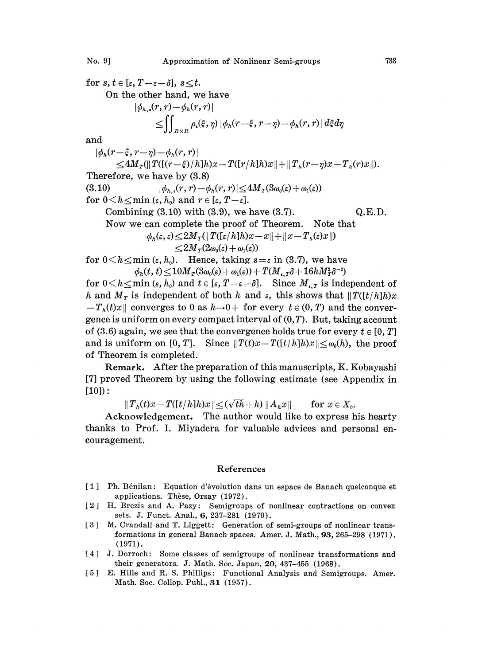for  $s, t \in [\varepsilon, T-\varepsilon-\delta], s \leq t$ . On the other hand, we have  $|\phi_{h,\bullet}(r,r)-\phi_h(r,r)|$ <br> $\leq \iint_{R\times R} \rho_{\bullet}(\xi,\eta) |\phi_h(r-\xi,r-\eta)-\phi_h(r,r)| d\xi d\eta$ and  $|\phi_h(r-\xi, r-\eta)-\phi_h(r,r)|$  $\leq 4M_{\textit{t}}(\|T([(\textit{r}-\xi)/\textit{h}]\textit{h})x - T([r/\textit{h}]\textit{h})x\| + \|T_{\textit{h}}(\textit{r}-\textit{r})x - T_{\textit{h}}(\textit{r})x\|).$ Therefore, we have by (3.8) (3.10)  $|\phi_{h,\epsilon}(r, r)-\phi_h(r, r)| \leq 4M_T(3\omega_0(\epsilon)+\omega_1(\epsilon))$ 

for  $0 \leq h \leq \min(\varepsilon, h_0)$  and  $r \in [\varepsilon, T-\varepsilon]$ . Combining  $(3.10)$  with  $(3.9)$ , we have  $(3.7)$ . Q.E.D. Now we can complete the proof of Theorem. Note that  $\phi_h(\varepsilon, \varepsilon)$   $\leq$  2M<sub>r</sub>(||T([ $\varepsilon/h$ ]h)x-x||+||x-T<sub>h</sub>( $\varepsilon$ )x||)  $\langle 2M_T(2\omega_0(\varepsilon) + \omega_1(\varepsilon))\rangle$ 

for  $0 \le h \le \min (\varepsilon, h_0)$ . Hence, taking  $s = \varepsilon$  in (3.7), we have  $\phi_h(t, t) \leq 10 \frac{M_T(\delta \omega_0(\varepsilon) + \omega_1(\varepsilon)) + T(M_{\varepsilon, T} \delta + 16hM_T^2 \delta^{-2})}{\varepsilon}$ 

for  $0 \le h \le \min(\varepsilon, h_0)$  and  $t \in [\varepsilon, T-\varepsilon-\delta]$ . Since  $M_{\varepsilon,T}$  is independent of h and  $M_T$  is independent of both h and  $\varepsilon$ , this shows that  $\|T([t/h]h)x\|$  $-T_h(t)x$  converges to 0 as  $h\rightarrow 0+$  for every  $t \in (0, T)$  and the convergence is uniform on every compact interval of  $(0, T)$ . But, taking account of (3.6) again, we see that the convergence holds true for every  $t \in [0, T]$ and is uniform on [0, T]. Since  $||T(t)x-T([t/h]h)x|| \leq \omega_0(h)$ , the proof of Theorem is completed.

Remark. After the preparation of this manuscripts, K. Kobayashi [7] proved Theorem by using the following estimate (see Appendix in  $[10]$ :

 $||T_h(t)x-T([t/h]h)x||\leq (\sqrt{t}h+h) ||A_hx||$  for  $x\in X_0$ .

Acknowledgement. The author would like to express his hearty thanks to Prof. I. Miyadera for valuable advices and personal encouragement.

## References

- [1] Ph. Bénilan: Equation d'évolution dans un espace de Banach quelconque et applications. Thèse, Orsay (1972).
- 2 H. Brezis and A. Pazy: Semigroups of nonlinear contractions on convex sets. J. Funct. Anal., 6, 237-281 (1970).
- [3] M. Crandall and T. Liggett: Generation of semi-groups of nonlinear transformations in general Banach spaces. Amer. J. Math., 93, 265-298 (1971). (1971).
- [4] J. Dorroch: Some classes of semigroups of nonlinear transformations and their generators. J. Math. Soc. Japan, 20, 437-455 (1968).
- [5] E. Hille and R. S. Phillips: Functional Analysis and Semigroups. Amer. Math. Soc. Collop. Publ., 31 (1957).